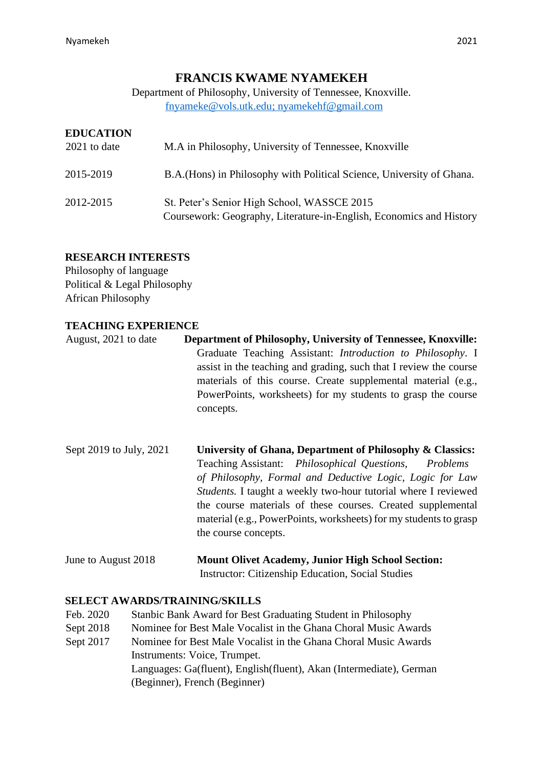# **FRANCIS KWAME NYAMEKEH**

Department of Philosophy, University of Tennessee, Knoxville. fnyameke@vols.utk.edu; nyamekehf@gmail.com

## **EDUCATION**

| 2021 to date | M.A in Philosophy, University of Tennessee, Knoxville                                                              |
|--------------|--------------------------------------------------------------------------------------------------------------------|
| 2015-2019    | B.A. (Hons) in Philosophy with Political Science, University of Ghana.                                             |
| 2012-2015    | St. Peter's Senior High School, WASSCE 2015<br>Coursework: Geography, Literature-in-English, Economics and History |

### **RESEARCH INTERESTS**

Philosophy of language Political & Legal Philosophy African Philosophy

### **TEACHING EXPERIENCE**

- August, 2021 to date **Department of Philosophy, University of Tennessee, Knoxville:** Graduate Teaching Assistant: *Introduction to Philosophy*. I assist in the teaching and grading, such that I review the course materials of this course. Create supplemental material (e.g., PowerPoints, worksheets) for my students to grasp the course concepts.
- Sept 2019 to July, 2021 **University of Ghana, Department of Philosophy & Classics:** Teaching Assistant: *Philosophical Questions, Problems of Philosophy, Formal and Deductive Logic, Logic for Law Students.* I taught a weekly two-hour tutorial where I reviewed the course materials of these courses. Created supplemental material (e.g., PowerPoints, worksheets) for my students to grasp the course concepts.
- June to August 2018 **Mount Olivet Academy, Junior High School Section:** Instructor: Citizenship Education, Social Studies

### **SELECT AWARDS/TRAINING/SKILLS**

- Feb. 2020 Stanbic Bank Award for Best Graduating Student in Philosophy
- Sept 2018 Nominee for Best Male Vocalist in the Ghana Choral Music Awards
- Sept 2017 Nominee for Best Male Vocalist in the Ghana Choral Music Awards Instruments: Voice, Trumpet.

Languages: Ga(fluent), English(fluent), Akan (Intermediate), German (Beginner), French (Beginner)